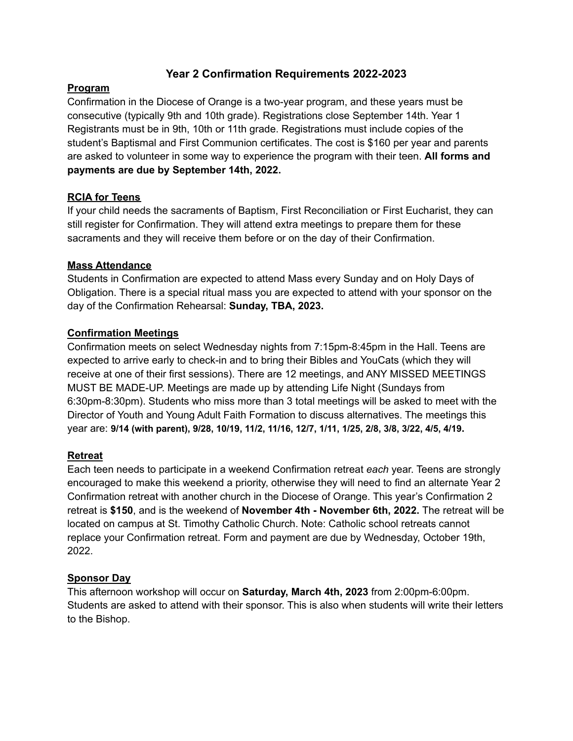# **Year 2 Confirmation Requirements 2022-2023**

### **Program**

Confirmation in the Diocese of Orange is a two-year program, and these years must be consecutive (typically 9th and 10th grade). Registrations close September 14th. Year 1 Registrants must be in 9th, 10th or 11th grade. Registrations must include copies of the student's Baptismal and First Communion certificates. The cost is \$160 per year and parents are asked to volunteer in some way to experience the program with their teen. **All forms and payments are due by September 14th, 2022.**

## **RCIA for Teens**

If your child needs the sacraments of Baptism, First Reconciliation or First Eucharist, they can still register for Confirmation. They will attend extra meetings to prepare them for these sacraments and they will receive them before or on the day of their Confirmation.

### **Mass Attendance**

Students in Confirmation are expected to attend Mass every Sunday and on Holy Days of Obligation. There is a special ritual mass you are expected to attend with your sponsor on the day of the Confirmation Rehearsal: **Sunday, TBA, 2023.**

### **Confirmation Meetings**

Confirmation meets on select Wednesday nights from 7:15pm-8:45pm in the Hall. Teens are expected to arrive early to check-in and to bring their Bibles and YouCats (which they will receive at one of their first sessions). There are 12 meetings, and ANY MISSED MEETINGS MUST BE MADE-UP. Meetings are made up by attending Life Night (Sundays from 6:30pm-8:30pm). Students who miss more than 3 total meetings will be asked to meet with the Director of Youth and Young Adult Faith Formation to discuss alternatives. The meetings this year are: **9/14 (with parent), 9/28, 10/19, 11/2, 11/16, 12/7, 1/11, 1/25, 2/8, 3/8, 3/22, 4/5, 4/19.**

#### **Retreat**

Each teen needs to participate in a weekend Confirmation retreat *each* year. Teens are strongly encouraged to make this weekend a priority, otherwise they will need to find an alternate Year 2 Confirmation retreat with another church in the Diocese of Orange. This year's Confirmation 2 retreat is **\$150**, and is the weekend of **November 4th - November 6th, 2022.** The retreat will be located on campus at St. Timothy Catholic Church. Note: Catholic school retreats cannot replace your Confirmation retreat. Form and payment are due by Wednesday, October 19th, 2022.

## **Sponsor Day**

This afternoon workshop will occur on **Saturday, March 4th, 2023** from 2:00pm-6:00pm. Students are asked to attend with their sponsor. This is also when students will write their letters to the Bishop.